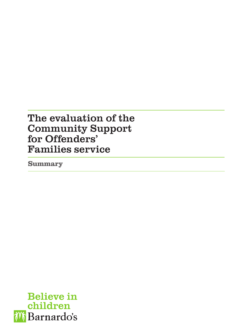# The evaluation of the Community Support for Offenders' Families service

Summary

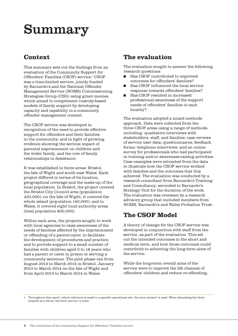# Summary

### **Context**

This summary sets out the findings from an evaluation of the Community Support for Offenders' Families (CSOF) service.1 CSOF was a time-limited service, jointly funded by Barnardo's and the National Offender Management Service (NOMS) Commissioning Strategies Group (CSG) using grant monies, which aimed to complement custody-based models of family support by developing capacity and capability in a community offender management context.

The CSOF service was developed in recognition of the need to provide effective support for offenders and their families in the community, and in light of growing evidence showing the serious impact of parental imprisonment on children and the wider family, and the role of family relationships in desistance.

It was established in three areas: Bristol, the Isle of Wight and south east Wales. Each project differed in terms of its location, geographical coverage and the make-up of the local population. In Bristol, the project covered the Bristol City Council area (population 430,000); on the Isle of Wight, it covered the whole island (population 140,000); and in Wales, it covered eight local authority areas (total population 800,000).

Within each area, the projects sought to work with local agencies to raise awareness of the needs of families affected by the imprisonment or offending of a parent/carer, to facilitate the development of procedures and practice, and to provide support to a small number of families with children aged 0 to 18 years who had a parent or carer in prison or serving a community sentence. The pilot phase ran from August 2012 to March 2014 in Bristol, January 2013 to March 2014 on the Isle of Wight and from April 2013 to March 2014 in Wales.

### The evaluation

The evaluation sought to answer the following research questions:

- Has CSOF contributed to improved outcomes for offenders' families?
- Has CSOF influenced the local service response towards offenders' families?
- Has CSOF resulted in increased professional awareness of the support needs of offenders' families in each locality?

The evaluation adopted a mixed methods approach. Data were collected from the three CSOF areas using a range of methods, including: qualitative interviews with stakeholders, staff, and families; case reviews of service user data; questionnaires; feedback forms; telephone interviews; and an online survey for professionals who had participated in training and/or awareness-raising activities. Case examples were extracted from the data to illustrate how the CSOF service worked with families and the outcomes that this achieved. The evaluation was conducted by a research consultant from Barnardo's Training and Consultancy, seconded to Barnardo's Strategy Unit for the duration of the work. The evaluation was overseen by a research advisory group that included members from NOMS, Barnardo's and Wales Probation Trust.

### The CSOF Model

A theory of change for the CSOF service was developed in conjunction with staff from the service, as part of the evaluation. This set out the intended outcomes in the short and medium term, and how those outcomes could contribute to achieving the long-term aims of the service.

While the long-term overall aims of the service were to improve the life chances of offenders' children and reduce re-offending,

1 Throughout this report, where reference is made to a specific operational site, the term 'project' is used. When discussing the three projects as a whole, the term 'service' is used.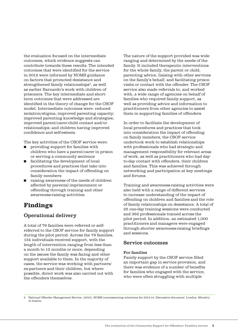the evaluation focused on the intermediate outcomes, which evidence suggests can contribute towards these results. The intended outcomes that were identified for the service in 2012 were informed by NOMS guidance on factors that promoted desistance and strengthened family relationships<sup>2</sup>, as well as earlier Barnardo's work with children of prisoners. The key intermediate and shortterm outcomes that were addressed are identified in the theory of change for the CSOF model. Intermediate outcomes were: reduced isolation/stigma; improved parenting capacity; improved parenting knowledge and strategies; improved parent/carer-child contact and/or relationships; and children having improved confidence and self-esteem.

The key activities of the CSOF service were:

- providing support for families with children who have a parent/carer in prison or serving a community sentence
- facilitating the development of local procedures and practices that take into consideration the impact of offending on family members
- raising awareness of the needs of children affected by parental imprisonment or offending through training and other awareness-raising activities.

### Findings

#### Operational delivery

A total of 79 families were referred or selfreferred to the CSOF service for family support during the pilot period. Across the 79 families, 134 individuals received support, with the length of intervention ranging from less than a month to 12 months or more, depending on the issues the family was facing and other support available to them. In the majority of cases, the service was working with partners/ ex-partners and their children, but where possible, direct work was also carried out with the offenders themselves.

The nature of the support provided was wide ranging and determined by the needs of the family. It included therapeutic interventions for the whole family, the parent or child, parenting advice, liaising with other services on the family's behalf, and facilitating prison visits or contact with the offender. The CSOF service also made referrals to, and worked with, a wide range of agencies on behalf of families who required family support, as well as providing advice and information to practitioners from other agencies to assist them in supporting families of offenders.

In order to facilitate the development of local procedures and practices that took into consideration the impact of offending on family members, the CSOF service undertook work to establish relationships with professionals who had strategic and management responsibility for relevant areas of work, as well as practitioners who had dayto-day contact with offenders, their children and families. This was achieved through networking and participation at key meetings and forums.

Training and awareness-raising activities were also held with a range of different services to increase understanding of the impact of offending on children and families and the role of family relationships on desistance. A total of 25 one-day training sessions were conducted and 362 professionals trained across the pilot period. In addition, an estimated 1,000 practitioners and managers were engaged through shorter awareness-raising briefings and sessions.

#### Service outcomes

#### For families

Family support by the CSOF service filled an important gap in service provision, and there was evidence of a number of benefits for families who engaged with the service, who were often struggling with multiple

2 National Offender Management Service. (2012). NOMS commissioning intentions for 2013-14: Discussion document. London: Ministry of Justice.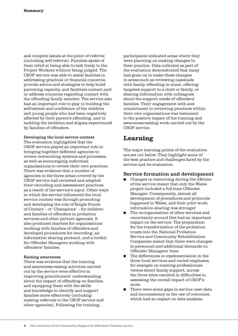and complex issues at the point of referral (including self-referral). Families spoke of their relief at being able to talk freely to the Project Workers without being judged. The CSOF service was able to assist families in addressing practical or financial concerns, provide advice and strategies to help build parenting capacity, and facilitate contact and/ or address concerns regarding contact with the offending family member. The service also had an important role to play in building the self-esteem and confidence of the children and young people who had been negatively affected by their parent's offending, and in tackling the isolation and stigma experienced by families of offenders.

Developing the local service context The evaluation highlighted that the CSOF service played an important role in bringing together different agencies to review overarching systems and processes, as well as encouraging individual organisations to review their own practices. There was evidence that a number of agencies in the three areas covered by the CSOF service had reviewed and adapted their recording and assessment practices as a result of the service's input. Other ways in which the service influenced the local service context was through promoting and developing the role of Single Points of Contact – or 'Champions' – for children and families of offenders in probation services and other partner agencies. It also produced charters for organisations working with families of offenders and developed procedures for recording, an information sharing protocol, and a toolkit for Offender Managers working with offenders' families.

#### Raising awareness

There was evidence that the training and awareness-raising activities carried out by the service were effective in improving practitioners' understanding about the impact of offending on families, and equipping them with the skills and knowledge to identify and support families more effectively (including making referrals to the CSOF service and other agencies). Following the training,

participants indicated areas where they were planning on making changes to their practice. Data collected as part of the evaluation demonstrated that many had gone on to make these changes in areas such as reviewing caseloads with family offending in mind, offering targeted support to a child or family, or sharing information with colleagues about the support needs of offenders' families. Their engagement with and commitment to reviewing practices within their own organisations was testament to the positive impact of the training and awareness-raising work carried out by the CSOF service.

### Learning

The major learning points of the evaluation are set out below. They highlight some of the best practice and challenges faced by the service and its evaluation.

#### Service formation and development

- Changes in resourcing during the lifetime of the service meant that only the Wales project included a full-time Offender Manager. Consequently, almost all development of procedures and protocols happened in Wales, and their joint work/ information sharing was stronger
- The re-organisation of other services and uncertainty around this had an important impact on the service. The preparation for the transformation of the probation trusts into the National Probation Service and Community Rehabilitation Companies meant that there were changes in personnel and additional demands on Offender Managers' time.
- The differences in implementation in the three local services and varied emphases, for example on training professionals versus direct family support, across the three sites resulted in difficulties in assessing the overall impact of CSOF's work.
- There were some gaps in service user data and inconsistency in the use of outcomes, which had an impact on data analysis.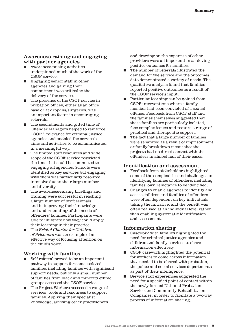#### Awareness raising and engaging with partner agencies

- Awareness-raising activities underpinned much of the work of the CSOF service.
- Engaging senior staff in other agencies and gaining their commitment was critical to the delivery of the service.
- The presence of the CSOF service in probation offices, either as an office base or at drop-ins/surgeries, was an important factor in encouraging referrals.
- The secondments and gifted time of Offender Managers helped to reinforce CSOF'S relevance for criminal justice agencies and enabled the service's aims and activities to be communicated in a meaningful way.
- The limited staff resources and wide scope of the CSOF service restricted the time that could be committed to engaging all agencies. Schools were identified as key services but engaging with them was particularly resource intensive due to their large number and diversity.
- The awareness-raising briefings and training were successful in reaching a large number of professionals and in improving their knowledge and understanding of the needs of offenders' families. Participants were able to illustrate how they could apply their learning in their practice.
- The Bristol Charter for Children of Prisoners was an example of an effective way of focusing attention on the child's voice.

#### Working with families

- Self-referral proved to be an important pathway to support for some isolated families, including families with significant support needs, but only a small number of families from black and minority ethnic groups accessed the CSOF service.
- The Project Workers accessed a range of services, tools and resources to support families. Applying their specialist knowledge, advising other practitioners

and drawing on the expertise of other providers were all important in achieving positive outcomes for families.

- The number of referrals illustrated the demand for the service and the outcomes data demonstrated a variety of needs. The qualitative analysis found that families reported positive outcomes as a result of the CSOF service's input.
- Particular learning can be gained from CSOF interventions where a family member had been convicted of a sexual offence. Feedback from CSOF staff and the families themselves suggested that these families are particularly isolated, face complex issues and require a range of practical and therapeutic support.
- The fact that a large number of families were separated as a result of imprisonment or family breakdown meant that the projects had no direct contact with the offenders in almost half of their cases.

#### Identification and assessment

- Feedback from stakeholders highlighted some of the complexities and challenges in identifying families of offenders, including families' own reluctance to be identified.
- Changes to enable agencies to identify and assess children and families of offenders were often dependent on key individuals taking the initiative, and the benefit was often realised at an individual level rather than enabling systematic identification and assessment.

#### Information sharing

- Casework with families highlighted the need for criminal justice agencies and children and family services to share information effectively.
- CSOF casework highlighted the potential for workers to come across information that needed to be shared with probation, the police and social services departments as part of their intelligence.
- Service staff experiences suggested the need for a specified point of contact within the newly formed National Probation Service and Community Rehabilitation Companies, in order to facilitate a two-way process of information sharing.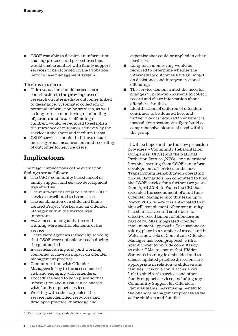■ CSOF was able to develop an information sharing protocol and procedures that would enable contact with family support services to be recorded on the Probation Service case management system.

#### The evaluation

- This evaluation should be seen as a contribution to the growing area of research on intermediate outcomes linked to desistance. Systematic collection of personal information by services, as well as longer-term monitoring of offending of parents and future offending of children, would be required to establish the relevance of outcomes achieved by the service in the short and medium terms.
- CSOF services should, in future, ensure more rigorous measurement and recording of outcomes for service users.

### Implications

The major implications of the evaluation findings are as follows:

- The CSOF community-based model of family support and service development was effective.
- The multi-dimensional role of the CSOF service contributed to its success.
- The combination of a child and familyfocused Project Worker and an Offender Manager within the service was important.
- Awareness-raising activities and training were central elements of the service.
- There were agencies (especially schools) that CSOF were not able to reach during the pilot period.
- Awareness raising and joint working combined to have an impact on offender management practice.
- Communication with Offender Managers is key to the assessment of risk and engaging with offenders.
- Procedures need to be in place so that information about risk can be shared with family support services.
- Working with other agencies, the service has identified resources and developed practice knowledge and

expertise that could be applied in other localities.

- Long-term monitoring would be required to determine whether the intermediate outcomes have an impact on desistance and intergenerational offending.
- The service demonstrated the need for changes to probation systems to collect, record and share information about offenders' families.
- Identification of children of offenders continues to be done ad hoc, and further work is required to ensure it is instead done systematically to build a comprehensive picture of need within the group.

It will be important for the new probation providers – Community Rehabilitation Companies (CRCs) and the National Probation Service (NPS) – to understand how the learning from CSOF can inform development of services in the new Transforming Rehabilitation operating model. Barnardo's has committed to fund the CSOF service for a further two years from April 2014. In Wales the CRC has extended the secondment of a full-time Offender Manager into this team up to March 2015, where it is anticipated that this will complement other communitybased initiatives and contribute to effective resettlement of offenders as part of NOMS's integrated offender management approach<sup>3</sup>. Discussions are taking place in a number of areas, and in Wales a new role of Consultant Offender Manager has been proposed, with a specific brief to provide consultancy to other OMs, to ensure that Hidden Sentence training is embedded and to ensure updated practice directions are appropriate in relation to children and families. This role could act as a key link to children's services and other family support services, including any Community Support for Offenders' Families teams, maximising benefit for the offender management process as well as for children and families.